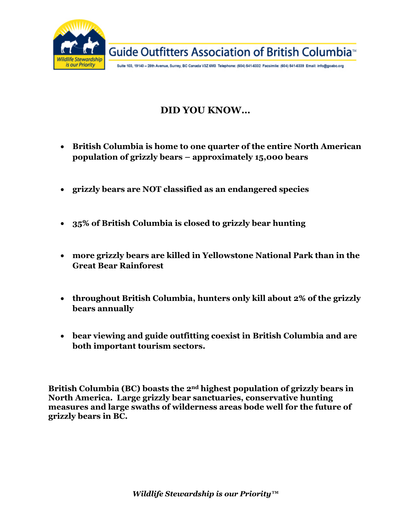

# **DID YOU KNOW…**

- **British Columbia is home to one quarter of the entire North American population of grizzly bears – approximately 15,000 bears**
- **grizzly bears are NOT classified as an endangered species**
- **35% of British Columbia is closed to grizzly bear hunting**
- **more grizzly bears are killed in Yellowstone National Park than in the Great Bear Rainforest**
- **throughout British Columbia, hunters only kill about 2% of the grizzly bears annually**
- **bear viewing and guide outfitting coexist in British Columbia and are both important tourism sectors.**

**British Columbia (BC) boasts the 2nd highest population of grizzly bears in North America. Large grizzly bear sanctuaries, conservative hunting measures and large swaths of wilderness areas bode well for the future of grizzly bears in BC.**